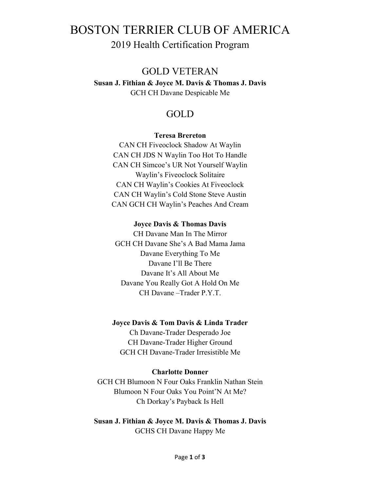# BOSTON TERRIER CLUB OF AMERICA 2019 Health Certification Program

# GOLD VETERAN

**Susan J. Fithian & Joyce M. Davis & Thomas J. Davis**  GCH CH Davane Despicable Me

# GOLD

#### **Teresa Brereton**

CAN CH Fiveoclock Shadow At Waylin CAN CH JDS N Waylin Too Hot To Handle CAN CH Simcoe's UR Not Yourself Waylin Waylin's Fiveoclock Solitaire CAN CH Waylin's Cookies At Fiveoclock CAN CH Waylin's Cold Stone Steve Austin CAN GCH CH Waylin's Peaches And Cream

#### **Joyce Davis & Thomas Davis**

CH Davane Man In The Mirror GCH CH Davane She's A Bad Mama Jama Davane Everything To Me Davane I'll Be There Davane It's All About Me Davane You Really Got A Hold On Me CH Davane –Trader P.Y.T.

#### **Joyce Davis & Tom Davis & Linda Trader**

Ch Davane-Trader Desperado Joe CH Davane-Trader Higher Ground GCH CH Davane-Trader Irresistible Me

#### **Charlotte Donner**

GCH CH Blumoon N Four Oaks Franklin Nathan Stein Blumoon N Four Oaks You Point'N At Me? Ch Dorkay's Payback Is Hell

**Susan J. Fithian & Joyce M. Davis & Thomas J. Davis**  GCHS CH Davane Happy Me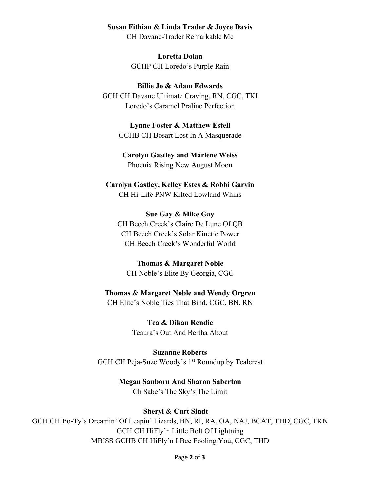#### **Susan Fithian & Linda Trader & Joyce Davis**

CH Davane-Trader Remarkable Me

**Loretta Dolan** GCHP CH Loredo's Purple Rain

**Billie Jo & Adam Edwards** GCH CH Davane Ultimate Craving, RN, CGC, TKI Loredo's Caramel Praline Perfection

> **Lynne Foster & Matthew Estell**  GCHB CH Bosart Lost In A Masquerade

**Carolyn Gastley and Marlene Weiss**  Phoenix Rising New August Moon

**Carolyn Gastley, Kelley Estes & Robbi Garvin**  CH Hi-Life PNW Kilted Lowland Whins

**Sue Gay & Mike Gay**  CH Beech Creek's Claire De Lune Of QB CH Beech Creek's Solar Kinetic Power CH Beech Creek's Wonderful World

**Thomas & Margaret Noble** CH Noble's Elite By Georgia, CGC

# **Thomas & Margaret Noble and Wendy Orgren**

CH Elite's Noble Ties That Bind, CGC, BN, RN

**Tea & Dikan Rendic**  Teaura's Out And Bertha About

**Suzanne Roberts** GCH CH Peja-Suze Woody's 1<sup>st</sup> Roundup by Tealcrest

> **Megan Sanborn And Sharon Saberton**  Ch Sabe's The Sky's The Limit

# **Sheryl & Curt Sindt**

GCH CH Bo-Ty's Dreamin' Of Leapin' Lizards, BN, RI, RA, OA, NAJ, BCAT, THD, CGC, TKN GCH CH HiFly'n Little Bolt Of Lightning MBISS GCHB CH HiFly'n I Bee Fooling You, CGC, THD

Page **2** of **3**